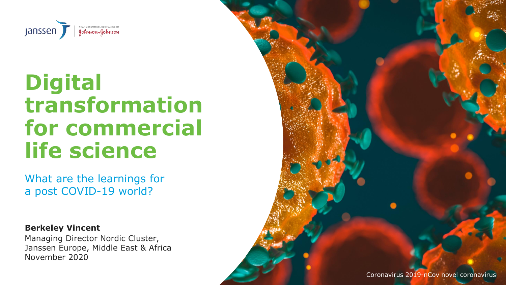Coronavirus 2019-nCov novel coronavirus



### **Digital transformation for commercial life science**

What are the learnings for a post COVID-19 world?

Managing Director Nordic Cluster, Janssen Europe, Middle East & Africa November 2020 **Berkeley Vincent**

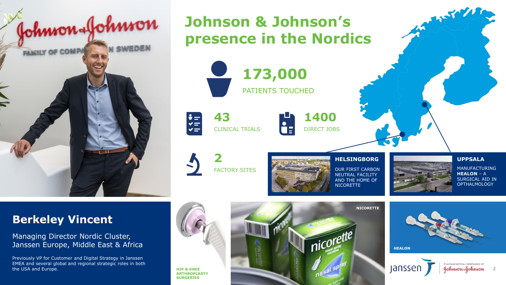### **Berkeley Vincent**

Managing Director Nordic Cluster, Janssen Europe, Middle East & Africa

Previously VP for Customer and Digital Strategy in Janssen EMEA and several global and regional strategic roles in both the USA and Europe.





**HEALON**



PHARMACEUTICAL COMPANIES OF Johnson-Johnson



**HIP & KNEE ARTHROPLASTY SURGERIES**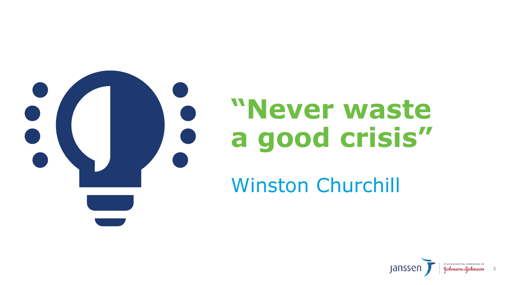

# **"Never waste a good crisis"**

## Winston Churchill



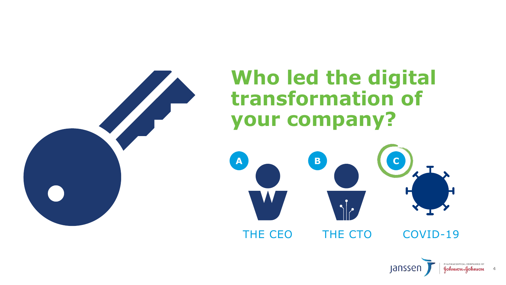

### **Who led the digital transformation of your company?**



### COVID-19

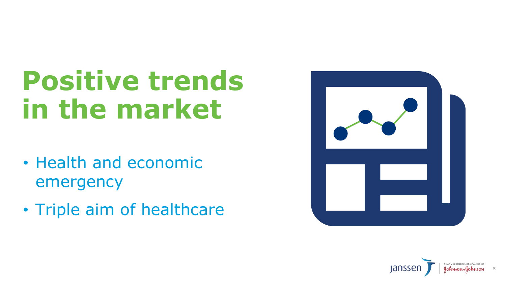# **Positive trends in the market**

- Health and economic emergency
- Triple aim of healthcare



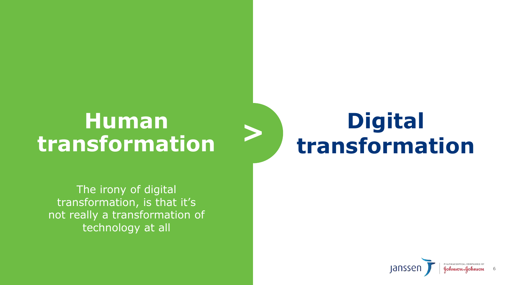The irony of digital transformation, is that it's not really a transformation of technology at all

## **Human transformation**



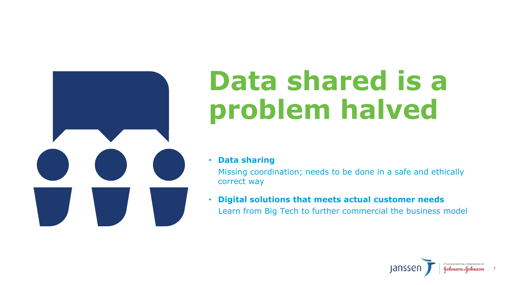

# **Data shared is a problem halved**

• **Data sharing**

Missing coordination; needs to be done in a safe and ethically correct way

• **Digital solutions that meets actual customer needs** Learn from Big Tech to further commercial the business model



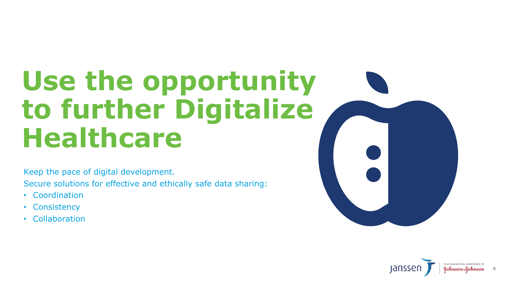# **Use the opportunity to further Digitalize Healthcare**

Keep the pace of digital development.

Secure solutions for effective and ethically safe data sharing:

- Coordination
- Consistency
- Collaboration